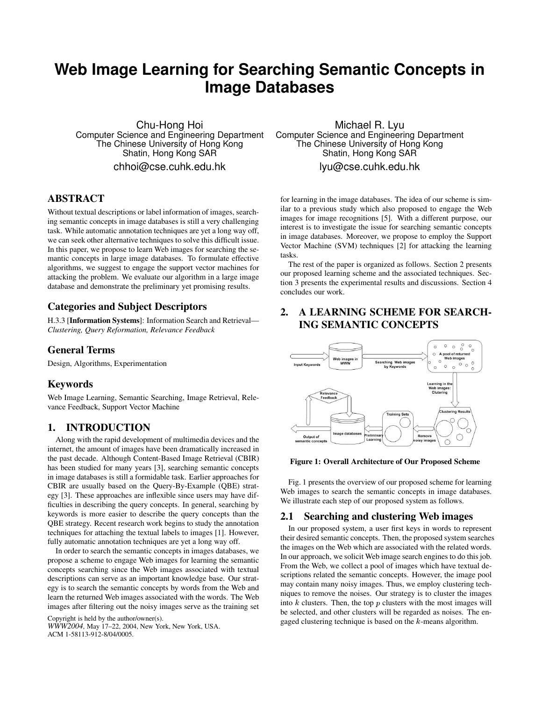# **Web Image Learning for Searching Semantic Concepts in Image Databases**

Chu-Hong Hoi Computer Science and Engineering Department The Chinese University of Hong Kong Shatin, Hong Kong SAR chhoi@cse.cuhk.edu.hk

# **ABSTRACT**

Without textual descriptions or label information of images, searching semantic concepts in image databases is still a very challenging task. While automatic annotation techniques are yet a long way off, we can seek other alternative techniques to solve this difficult issue. In this paper, we propose to learn Web images for searching the semantic concepts in large image databases. To formulate effective algorithms, we suggest to engage the support vector machines for attacking the problem. We evaluate our algorithm in a large image database and demonstrate the preliminary yet promising results.

# **Categories and Subject Descriptors**

H.3.3 [**Information Systems**]: Information Search and Retrieval— *Clustering, Query Reformation, Relevance Feedback*

## **General Terms**

Design, Algorithms, Experimentation

## **Keywords**

Web Image Learning, Semantic Searching, Image Retrieval, Relevance Feedback, Support Vector Machine

## **1. INTRODUCTION**

Along with the rapid development of multimedia devices and the internet, the amount of images have been dramatically increased in the past decade. Although Content-Based Image Retrieval (CBIR) has been studied for many years [3], searching semantic concepts in image databases is still a formidable task. Earlier approaches for CBIR are usually based on the Query-By-Example (QBE) strategy [3]. These approaches are inflexible since users may have difficulties in describing the query concepts. In general, searching by keywords is more easier to describe the query concepts than the QBE strategy. Recent research work begins to study the annotation techniques for attaching the textual labels to images [1]. However, fully automatic annotation techniques are yet a long way off.

In order to search the semantic concepts in images databases, we propose a scheme to engage Web images for learning the semantic concepts searching since the Web images associated with textual descriptions can serve as an important knowledge base. Our strategy is to search the semantic concepts by words from the Web and learn the returned Web images associated with the words. The Web images after filtering out the noisy images serve as the training set

Copyright is held by the author/owner(s). *WWW2004*, May 17–22, 2004, New York, New York, USA. ACM 1-58113-912-8/04/0005.

Michael R. Lyu Computer Science and Engineering Department The Chinese University of Hong Kong Shatin, Hong Kong SAR lyu@cse.cuhk.edu.hk

for learning in the image databases. The idea of our scheme is similar to a previous study which also proposed to engage the Web images for image recognitions [5]. With a different purpose, our interest is to investigate the issue for searching semantic concepts in image databases. Moreover, we propose to employ the Support Vector Machine (SVM) techniques [2] for attacking the learning tasks.

The rest of the paper is organized as follows. Section 2 presents our proposed learning scheme and the associated techniques. Section 3 presents the experimental results and discussions. Section 4 concludes our work.

# **2. A LEARNING SCHEME FOR SEARCH-ING SEMANTIC CONCEPTS**



#### **Figure 1: Overall Architecture of Our Proposed Scheme**

Fig. 1 presents the overview of our proposed scheme for learning Web images to search the semantic concepts in image databases. We illustrate each step of our proposed system as follows.

## **2.1 Searching and clustering Web images**

In our proposed system, a user first keys in words to represent their desired semantic concepts. Then, the proposed system searches the images on the Web which are associated with the related words. In our approach, we solicit Web image search engines to do this job. From the Web, we collect a pool of images which have textual descriptions related the semantic concepts. However, the image pool may contain many noisy images. Thus, we employ clustering techniques to remove the noises. Our strategy is to cluster the images into  $k$  clusters. Then, the top  $p$  clusters with the most images will be selected, and other clusters will be regarded as noises. The engaged clustering technique is based on the  $k$ -means algorithm.